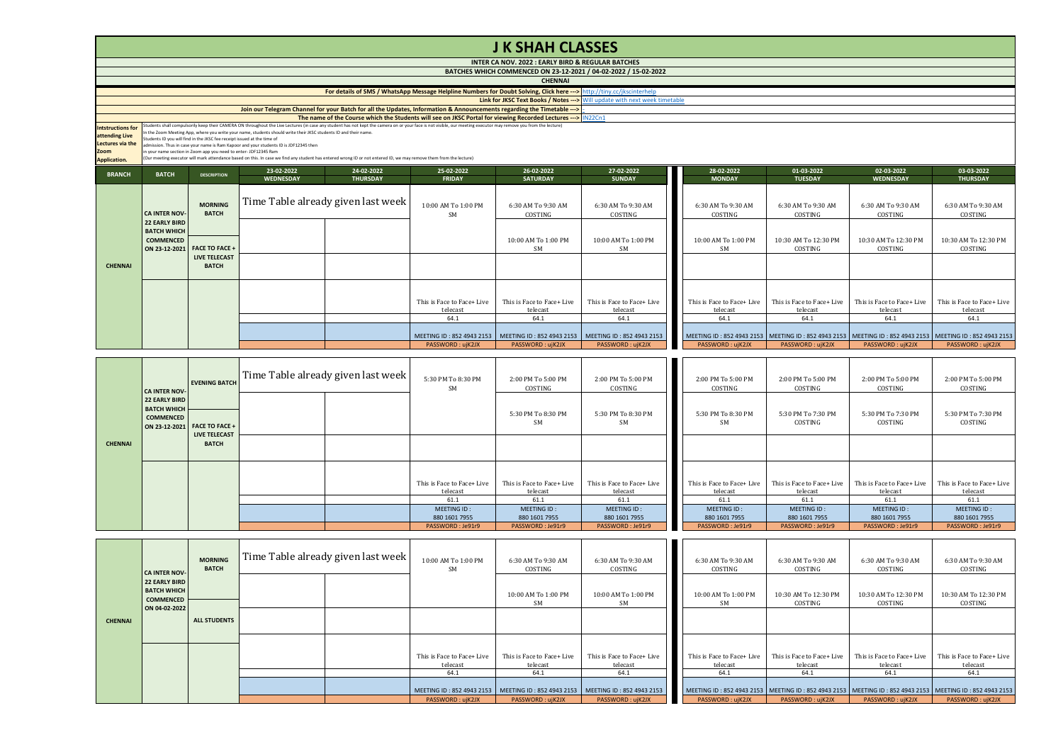|                                            |                                                                                                                                                                                                       |                                                                         |                                                                                                                  |                                                                                                                                                                    |                                                                                                                                                                                                                                                                                                                                    | <b>JK SHAH CLASSES</b>                                          |                                  |  |                               |                                 |                                                                                   |                                 |  |
|--------------------------------------------|-------------------------------------------------------------------------------------------------------------------------------------------------------------------------------------------------------|-------------------------------------------------------------------------|------------------------------------------------------------------------------------------------------------------|--------------------------------------------------------------------------------------------------------------------------------------------------------------------|------------------------------------------------------------------------------------------------------------------------------------------------------------------------------------------------------------------------------------------------------------------------------------------------------------------------------------|-----------------------------------------------------------------|----------------------------------|--|-------------------------------|---------------------------------|-----------------------------------------------------------------------------------|---------------------------------|--|
|                                            |                                                                                                                                                                                                       |                                                                         |                                                                                                                  |                                                                                                                                                                    |                                                                                                                                                                                                                                                                                                                                    | INTER CA NOV. 2022 : EARLY BIRD & REGULAR BATCHES               |                                  |  |                               |                                 |                                                                                   |                                 |  |
|                                            |                                                                                                                                                                                                       |                                                                         |                                                                                                                  |                                                                                                                                                                    |                                                                                                                                                                                                                                                                                                                                    | BATCHES WHICH COMMENCED ON 23-12-2021 / 04-02-2022 / 15-02-2022 |                                  |  |                               |                                 |                                                                                   |                                 |  |
|                                            |                                                                                                                                                                                                       |                                                                         |                                                                                                                  |                                                                                                                                                                    |                                                                                                                                                                                                                                                                                                                                    | <b>CHENNAI</b>                                                  |                                  |  |                               |                                 |                                                                                   |                                 |  |
|                                            |                                                                                                                                                                                                       |                                                                         |                                                                                                                  |                                                                                                                                                                    | For details of SMS / WhatsApp Message Helpline Numbers for Doubt Solving, Click here ---> http://tiny.cc/jkscinterhelp                                                                                                                                                                                                             |                                                                 |                                  |  |                               |                                 |                                                                                   |                                 |  |
|                                            | Link for JKSC Text Books / Notes --- > Will update with next week timetable<br>Join our Telegram Channel for your Batch for all the Updates, Information & Announcements regarding the Timetable ---> |                                                                         |                                                                                                                  |                                                                                                                                                                    |                                                                                                                                                                                                                                                                                                                                    |                                                                 |                                  |  |                               |                                 |                                                                                   |                                 |  |
|                                            |                                                                                                                                                                                                       |                                                                         |                                                                                                                  |                                                                                                                                                                    |                                                                                                                                                                                                                                                                                                                                    |                                                                 |                                  |  |                               |                                 |                                                                                   |                                 |  |
|                                            |                                                                                                                                                                                                       |                                                                         |                                                                                                                  |                                                                                                                                                                    | The name of the Course which the Students will see on JKSC Portal for viewing Recorded Lectures --->   IN22Cn1<br>Students shall compulsorily keep their CAMERA ON throughout the Live Lectures (in case any student has not kept the camera on or your face is not visible, our meeting executor may remove you from the lecture) |                                                                 |                                  |  |                               |                                 |                                                                                   |                                 |  |
| <b>Intstructions for</b><br>attending Live |                                                                                                                                                                                                       |                                                                         | In the Zoom Meeting App, where you write your name, students should write their JKSC students ID and their name. |                                                                                                                                                                    |                                                                                                                                                                                                                                                                                                                                    |                                                                 |                                  |  |                               |                                 |                                                                                   |                                 |  |
| Lectures via the                           |                                                                                                                                                                                                       | Students ID you will find in the JKSC fee receipt issued at the time of | admission. Thus in case your name is Ram Kapoor and your students ID is JDF12345 then                            |                                                                                                                                                                    |                                                                                                                                                                                                                                                                                                                                    |                                                                 |                                  |  |                               |                                 |                                                                                   |                                 |  |
| Zoom                                       |                                                                                                                                                                                                       | in your name section in Zoom app you need to enter- JDF12345 Ram        |                                                                                                                  |                                                                                                                                                                    |                                                                                                                                                                                                                                                                                                                                    |                                                                 |                                  |  |                               |                                 |                                                                                   |                                 |  |
| <b>Application.</b>                        |                                                                                                                                                                                                       |                                                                         |                                                                                                                  | (Our meeting executor will mark attendance based on this. In case we find any student has entered wrong ID or not entered ID, we may remove them from the lecture) |                                                                                                                                                                                                                                                                                                                                    |                                                                 |                                  |  |                               |                                 |                                                                                   |                                 |  |
|                                            |                                                                                                                                                                                                       |                                                                         | 23-02-2022                                                                                                       | 24-02-2022                                                                                                                                                         | 25-02-2022                                                                                                                                                                                                                                                                                                                         | 26-02-2022                                                      | 27-02-2022                       |  | 28-02-2022                    | 01-03-2022                      | 02-03-2022                                                                        | 03-03-2022                      |  |
| <b>BRANCH</b>                              | <b>BATCH</b>                                                                                                                                                                                          | <b>DESCRIPTION</b>                                                      | <b>WEDNESDAY</b>                                                                                                 | <b>THURSDAY</b>                                                                                                                                                    | <b>FRIDAY</b>                                                                                                                                                                                                                                                                                                                      | <b>SATURDAY</b>                                                 | <b>SUNDAY</b>                    |  | <b>MONDAY</b>                 | <b>TUESDAY</b>                  | <b>WEDNESDAY</b>                                                                  | <b>THURSDAY</b>                 |  |
|                                            | <b>CA INTER NOV-</b><br><b>22 EARLY BIRD</b><br><b>BATCH WHICH</b><br><b>COMMENCED</b><br>ON 23-12-2021                                                                                               | <b>MORNING</b><br><b>BATCH</b>                                          |                                                                                                                  | Time Table already given last week                                                                                                                                 | 10:00 AM To 1:00 PM<br><b>SM</b>                                                                                                                                                                                                                                                                                                   | 6:30 AM To 9:30 AM<br>COSTING                                   | 6:30 AM To 9:30 AM<br>COSTING    |  | 6:30 AM To 9:30 AM<br>COSTING | 6:30 AM To 9:30 AM<br>COSTING   | 6:30 AM To 9:30 AM<br>COSTING                                                     | 6:30 AM To 9:30 AM<br>COSTING   |  |
|                                            |                                                                                                                                                                                                       | <b>FACE TO FACE +</b>                                                   |                                                                                                                  |                                                                                                                                                                    |                                                                                                                                                                                                                                                                                                                                    | 10:00 AM To 1:00 PM<br><b>SM</b>                                | 10:00 AM To 1:00 PM<br><b>SM</b> |  | 10:00 AM To 1:00 PM<br>SM     | 10:30 AM To 12:30 PM<br>COSTING | 10:30 AM To 12:30 PM<br>COSTING                                                   | 10:30 AM To 12:30 PM<br>COSTING |  |
| <b>CHENNAI</b>                             |                                                                                                                                                                                                       | <b>LIVE TELECAST</b><br><b>BATCH</b>                                    |                                                                                                                  |                                                                                                                                                                    |                                                                                                                                                                                                                                                                                                                                    |                                                                 |                                  |  |                               |                                 |                                                                                   |                                 |  |
|                                            |                                                                                                                                                                                                       |                                                                         |                                                                                                                  |                                                                                                                                                                    | This is Face to Face+ Live                                                                                                                                                                                                                                                                                                         | This is Face to Face+ Live                                      | This is Face to Face+ Live       |  | This is Face to Face+ Live    | This is Face to Face+ Live      | This is Face to Face+ Live                                                        | This is Face to Face+ Live      |  |
|                                            |                                                                                                                                                                                                       |                                                                         |                                                                                                                  |                                                                                                                                                                    | telecast                                                                                                                                                                                                                                                                                                                           | telecast                                                        | telecast                         |  | telecast                      | telecast                        | telecast                                                                          | telecast                        |  |
|                                            |                                                                                                                                                                                                       |                                                                         |                                                                                                                  |                                                                                                                                                                    | 64.1                                                                                                                                                                                                                                                                                                                               | 64.1                                                            | 64.1                             |  | 64.1                          | 64.1                            | 64.1                                                                              | 64.1                            |  |
|                                            |                                                                                                                                                                                                       |                                                                         |                                                                                                                  |                                                                                                                                                                    | MEETING ID: 852 4943 2153                                                                                                                                                                                                                                                                                                          | MEETING ID: 852 4943 2153                                       | MEETING ID: 852 4943 2153        |  |                               |                                 | MEETING ID: 852 4943 2153   MEETING ID: 852 4943 2153   MEETING ID: 852 4943 2153 | MEETING ID: 852 4943 2153       |  |
|                                            |                                                                                                                                                                                                       |                                                                         |                                                                                                                  |                                                                                                                                                                    | PASSWORD: ujK2JX                                                                                                                                                                                                                                                                                                                   | PASSWORD: ujK2JX                                                | PASSWORD: ujK2JX                 |  | PASSWORD: ujK2JX              | PASSWORD: ujK2JX                | PASSWORD: ujK2JX                                                                  | PASSWORD: ujK2JX                |  |

|                | <b>CA INTER NOV-</b><br><b>22 EARLY BIRD</b><br><b>BATCH WHICH</b> | <b>EVENING BATCH</b>         | Time Table already given last week | 5:30 PM To 8:30 PM<br><b>SM</b> | 2:00 PM To 5:00 PM<br>COSTING | 2:00 PM To 5:00 PM<br>COSTING   | 2:00 PM To 5:00 PM<br>COSTING   | 2:00 PM To 5:00 PM<br>COSTING | 2:00 PM To 5:00 PM<br>COSTING | 2:00 PM To 5:00 PM<br>COSTING<br>5:30 PM To 7:30 PM |
|----------------|--------------------------------------------------------------------|------------------------------|------------------------------------|---------------------------------|-------------------------------|---------------------------------|---------------------------------|-------------------------------|-------------------------------|-----------------------------------------------------|
|                | <b>COMMENCED</b>                                                   | ON 23-12-2021 FACE TO FACE + |                                    |                                 | 5:30 PM To 8:30 PM<br>SM      | 5:30 PM To 8:30 PM<br><b>SM</b> | 5:30 PM To 8:30 PM<br><b>SM</b> | 5:30 PM To 7:30 PM<br>COSTING | 5:30 PM To 7:30 PM<br>COSTING | COSTING                                             |
|                |                                                                    | <b>LIVE TELECAST</b>         |                                    |                                 |                               |                                 |                                 |                               |                               |                                                     |
| <b>CHENNAI</b> |                                                                    | <b>BATCH</b>                 |                                    |                                 |                               |                                 |                                 |                               |                               |                                                     |
|                |                                                                    |                              |                                    |                                 |                               |                                 |                                 |                               |                               |                                                     |
|                |                                                                    |                              |                                    |                                 |                               |                                 |                                 |                               |                               |                                                     |
|                |                                                                    |                              |                                    | This is Face to Face+ Live      | This is Face to Face+ Live    | This is Face to Face+ Live      | This is Face to Face+ Live      | This is Face to Face+ Live    | This is Face to Face+ Live    | This is Face to Face+ Live                          |
|                |                                                                    |                              |                                    | telecast                        | telecast                      | telecast                        | telecast                        | telecast                      | telecast                      | telecast                                            |
|                |                                                                    |                              |                                    | 61.1                            | 61.1                          | 61.1                            | 61.1                            | 61.1                          | 61.1                          | 61.1                                                |
|                |                                                                    |                              |                                    | MEETING ID:                     | MEETING ID:                   | MEETING ID:                     | MEETING ID:                     | MEETING ID:                   | MEETING ID:                   | MEETING ID:                                         |
|                |                                                                    |                              |                                    | 880 1601 7955                   | 880 1601 7955                 | 880 1601 7955                   | 880 1601 7955                   | 880 1601 7955                 | 880 1601 7955                 | 880 1601 7955                                       |
|                |                                                                    |                              |                                    | PASSWORD: Je91r9                | PASSWORD: Je91r9              | PASSWORD: Je91r9                | PASSWORD: Je91r9                | PASSWORD: Je91r9              | PASSWORD: Je91r9              | PASSWORD: Je91r9                                    |

|                | <b>CA INTER NOV-</b>                                                            | <b>MORNING</b><br><b>BATCH</b> | Time Table already given last week | 10:00 AM To 1:00 PM<br><b>SM</b>       | 6:30 AM To 9:30 AM<br>COSTING          | 6:30 AM To 9:30 AM<br>COSTING                                                     | 6:30 AM To 9:30 AM<br>COSTING                                                                           | 6:30 AM To 9:30 AM<br>COSTING          | 6:30 AM To 9:30 AM<br>COSTING          | 6:30 AM To 9:30 AM<br>COSTING          |
|----------------|---------------------------------------------------------------------------------|--------------------------------|------------------------------------|----------------------------------------|----------------------------------------|-----------------------------------------------------------------------------------|---------------------------------------------------------------------------------------------------------|----------------------------------------|----------------------------------------|----------------------------------------|
|                | <b>22 EARLY BIRD</b><br><b>BATCH WHICH</b><br><b>COMMENCED</b><br>ON 04-02-2022 |                                |                                    |                                        | 10:00 AM To 1:00 PM<br>SM              | 10:00 AM To 1:00 PM<br>SM                                                         | 10:00 AM To 1:00 PM<br>SM                                                                               | 10:30 AM To 12:30 PM<br>COSTING        | 10:30 AM To 12:30 PM<br>COSTING        | 10:30 AM To 12:30 PM<br>COSTING        |
| <b>CHENNAI</b> |                                                                                 | <b>ALL STUDENTS</b>            |                                    |                                        |                                        |                                                                                   |                                                                                                         |                                        |                                        |                                        |
|                |                                                                                 |                                |                                    |                                        |                                        |                                                                                   |                                                                                                         |                                        |                                        |                                        |
|                |                                                                                 |                                |                                    | This is Face to Face+ Live<br>telecast | This is Face to Face+ Live<br>telecast | This is Face to Face+ Live<br>telecast                                            | This is Face to Face+ Live<br>telecast                                                                  | This is Face to Face+ Live<br>telecast | This is Face to Face+ Live<br>telecast | This is Face to Face+ Live<br>telecast |
|                |                                                                                 |                                |                                    | 64.1                                   | 64.1                                   | 64.1                                                                              | 64.1                                                                                                    | 64.1                                   | 64.1                                   | 64.1                                   |
|                |                                                                                 |                                |                                    |                                        |                                        | MEETING ID: 852 4943 2153   MEETING ID: 852 4943 2153   MEETING ID: 852 4943 2153 | MEETING ID: 852 4943 2153 MEETING ID: 852 4943 2153 MEETING ID: 852 4943 2153 MEETING ID: 852 4943 2153 |                                        |                                        |                                        |
|                |                                                                                 |                                |                                    | PASSWORD: ujK2JX                       | PASSWORD: ujK2JX                       | PASSWORD: ujK2JX                                                                  | PASSWORD: ujK2JX                                                                                        | PASSWORD: ujK2JX                       | PASSWORD: ujK2JX                       | PASSWORD: ujK2JX                       |

 $\mathbf{r}$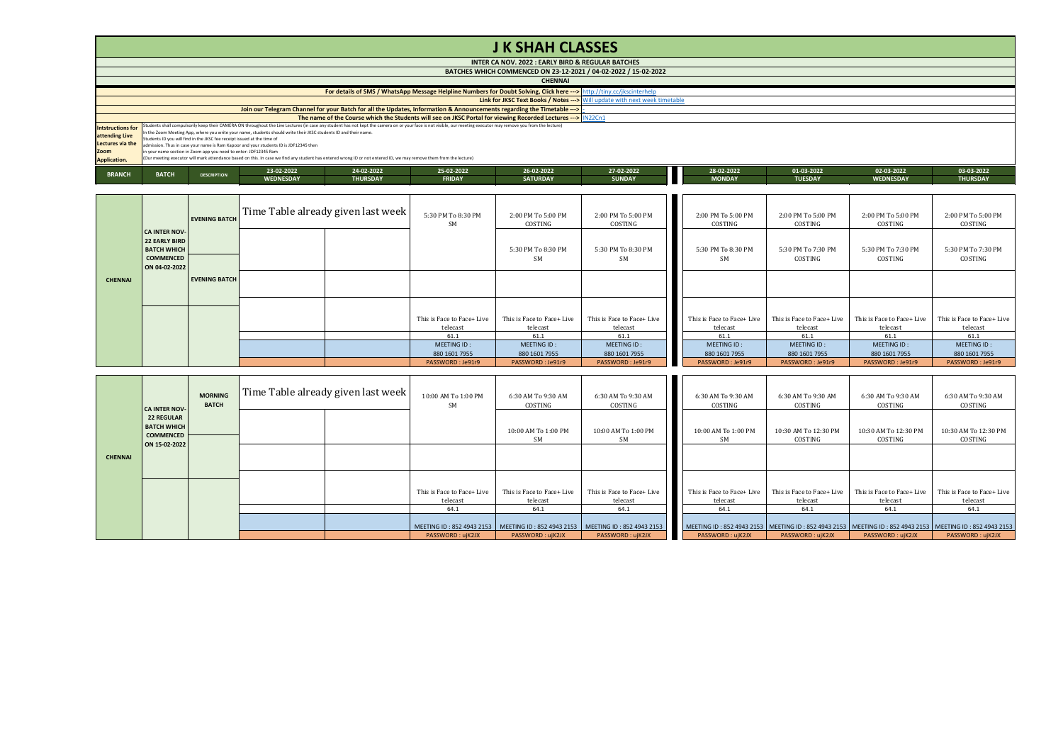## **J K SHAH CLASSES**

|                          | INTER CA NOV. 2022 : EARLY BIRD & REGULAR BATCHES                                                                                                                                                                |                                                                         |                                                                                                                                                                    |                 |               |                 |               |  |               |                |                  |                 |  |
|--------------------------|------------------------------------------------------------------------------------------------------------------------------------------------------------------------------------------------------------------|-------------------------------------------------------------------------|--------------------------------------------------------------------------------------------------------------------------------------------------------------------|-----------------|---------------|-----------------|---------------|--|---------------|----------------|------------------|-----------------|--|
|                          | BATCHES WHICH COMMENCED ON 23-12-2021 / 04-02-2022 / 15-02-2022                                                                                                                                                  |                                                                         |                                                                                                                                                                    |                 |               |                 |               |  |               |                |                  |                 |  |
|                          | <b>CHENNAI</b>                                                                                                                                                                                                   |                                                                         |                                                                                                                                                                    |                 |               |                 |               |  |               |                |                  |                 |  |
|                          | For details of SMS / WhatsApp Message Helpline Numbers for Doubt Solving, Click here ---> http://tiny.cc/jkscinterhelp                                                                                           |                                                                         |                                                                                                                                                                    |                 |               |                 |               |  |               |                |                  |                 |  |
|                          | Link for JKSC Text Books / Notes -- > Will update with next week timetable                                                                                                                                       |                                                                         |                                                                                                                                                                    |                 |               |                 |               |  |               |                |                  |                 |  |
|                          | Join our Telegram Channel for your Batch for all the Updates, Information & Announcements regarding the Timetable --->                                                                                           |                                                                         |                                                                                                                                                                    |                 |               |                 |               |  |               |                |                  |                 |  |
|                          | The name of the Course which the Students will see on JKSC Portal for viewing Recorded Lectures --- > IN22Cn1                                                                                                    |                                                                         |                                                                                                                                                                    |                 |               |                 |               |  |               |                |                  |                 |  |
| <b>Intstructions for</b> | Students shall compulsorily keep their CAMERA ON throughout the Live Lectures (in case any student has not kept the camera on or your face is not visible, our meeting executor may remove you from the lecture) |                                                                         |                                                                                                                                                                    |                 |               |                 |               |  |               |                |                  |                 |  |
| attending Live           |                                                                                                                                                                                                                  | Students ID you will find in the JKSC fee receipt issued at the time of | In the Zoom Meeting App, where you write your name, students should write their JKSC students ID and their name.                                                   |                 |               |                 |               |  |               |                |                  |                 |  |
| Lectures via the         |                                                                                                                                                                                                                  |                                                                         | admission. Thus in case your name is Ram Kappor and your students ID is JDF12345 then                                                                              |                 |               |                 |               |  |               |                |                  |                 |  |
| Zoom                     |                                                                                                                                                                                                                  | in your name section in Zoom app you need to enter-JDF12345 Ram         |                                                                                                                                                                    |                 |               |                 |               |  |               |                |                  |                 |  |
| Application.             |                                                                                                                                                                                                                  |                                                                         | (Our meeting executor will mark attendance based on this. In case we find any student has entered wrong ID or not entered ID, we may remove them from the lecture) |                 |               |                 |               |  |               |                |                  |                 |  |
|                          |                                                                                                                                                                                                                  |                                                                         | 23-02-2022                                                                                                                                                         | 24-02-2022      | 25-02-2022    | 26-02-2022      | 27-02-2022    |  | 28-02-2022    | 01-03-2022     | 02-03-2022       | 03-03-2022      |  |
| <b>BRANCH</b>            | <b>BATCH</b>                                                                                                                                                                                                     | <b>DESCRIPTION</b>                                                      | <b>WEDNESDAY</b>                                                                                                                                                   | <b>THURSDAY</b> | <b>FRIDAY</b> | <b>SATURDAY</b> | <b>SUNDAY</b> |  | <b>MONDAY</b> | <b>TUESDAY</b> | <b>WEDNESDAY</b> | <b>THURSDAY</b> |  |

|                | <b>CA INTER NOV-</b><br><b>22 EARLY BIRD</b> | <b>EVENING BATCH</b> | Time Table already given last week | 5:30 PM To 8:30 PM<br><b>SM</b>        | 2:00 PM To 5:00 PM<br>COSTING          | 2:00 PM To 5:00 PM<br>COSTING          | 2:00 PM To 5:00 PM<br>COSTING          | 2:00 PM To 5:00 PM<br>COSTING          | 2:00 PM To 5:00 PM<br>COSTING          | 2:00 PM To 5:00 PM<br>COSTING          |
|----------------|----------------------------------------------|----------------------|------------------------------------|----------------------------------------|----------------------------------------|----------------------------------------|----------------------------------------|----------------------------------------|----------------------------------------|----------------------------------------|
|                | <b>BATCH WHICH</b>                           |                      |                                    |                                        | 5:30 PM To 8:30 PM                     | 5:30 PM To 8:30 PM                     | 5:30 PM To 8:30 PM                     | 5:30 PM To 7:30 PM                     | 5:30 PM To 7:30 PM                     | 5:30 PM To 7:30 PM                     |
|                | <b>COMMENCED</b><br>ON 04-02-2022            |                      |                                    |                                        | SM.                                    | <b>SM</b>                              | SM.                                    | COSTING                                | COSTING                                | COSTING                                |
| <b>CHENNAI</b> |                                              | <b>EVENING BATCH</b> |                                    |                                        |                                        |                                        |                                        |                                        |                                        |                                        |
|                |                                              |                      |                                    |                                        |                                        |                                        |                                        |                                        |                                        |                                        |
|                |                                              |                      |                                    | This is Face to Face+ Live<br>telecast | This is Face to Face+ Live<br>telecast | This is Face to Face+ Live<br>telecast | This is Face to Face+ Live<br>telecast | This is Face to Face+ Live<br>telecast | This is Face to Face+ Live<br>telecast | This is Face to Face+ Live<br>telecast |
|                |                                              |                      |                                    | 61.1                                   | 61.1                                   | 61.1                                   | 61.1                                   | 61.1                                   | 61.1                                   | 61.1                                   |
|                |                                              |                      |                                    | MEETING ID:                            | MEETING ID:                            | MEETING ID:                            | MEETING ID:                            | MEETING ID:                            | MEETING ID:                            | MEETING ID:                            |
|                |                                              |                      |                                    | 880 1601 7955                          | 880 1601 7955                          | 880 1601 7955                          | 880 1601 7955                          | 880 1601 7955                          | 880 1601 7955                          | 880 1601 7955                          |
|                |                                              |                      |                                    | PASSWORD: Je91r9                       | PASSWORD: Je91r9                       | PASSWORD: Je91r9                       | PASSWORD: Je91r9                       | PASSWORD: Je91r9                       | PASSWORD: Je91r9                       | PASSWORD: Je91r9                       |

|                | <b>CA INTER NOV-</b>                                                         | <b>MORNING</b><br><b>BATCH</b> | Time Table already given last week | 10:00 AM To 1:00 PM                                                               | 6:30 AM To 9:30 AM<br>COSTING | 6:30 AM To 9:30 AM<br>COSTING | 6:30 AM To 9:30 AM<br>COSTING | 6:30 AM To 9:30 AM<br>COSTING   | 6:30 AM To 9:30 AM<br>COSTING   | 6:30 AM To 9:30 AM<br>COSTING                                                                                 |
|----------------|------------------------------------------------------------------------------|--------------------------------|------------------------------------|-----------------------------------------------------------------------------------|-------------------------------|-------------------------------|-------------------------------|---------------------------------|---------------------------------|---------------------------------------------------------------------------------------------------------------|
|                | <b>22 REGULAR</b><br><b>BATCH WHICH</b><br><b>COMMENCED</b><br>ON 15-02-2022 |                                |                                    |                                                                                   | 10:00 AM To 1:00 PM<br>SM.    | 10:00 AM To 1:00 PM<br>SM.    | 10:00 AM To 1:00 PM<br>SM     | 10:30 AM To 12:30 PM<br>COSTING | 10:30 AM To 12:30 PM<br>COSTING | 10:30 AM To 12:30 PM<br>COSTING                                                                               |
| <b>CHENNAI</b> |                                                                              |                                |                                    |                                                                                   |                               |                               |                               |                                 |                                 |                                                                                                               |
|                |                                                                              |                                |                                    | This is Face to Face+ Live                                                        | This is Face to Face+ Live    | This is Face to Face+ Live    | This is Face to Face+ Live    | This is Face to Face+ Live      | This is Face to Face+ Live      | This is Face to Face+ Live                                                                                    |
|                |                                                                              |                                |                                    | telecast<br>64.1                                                                  | telecast<br>64.1              | telecast<br>64.1              | telecast<br>64.1              | telecast<br>64.1                | telecast<br>64.1                | telecast<br>64.1                                                                                              |
|                |                                                                              |                                |                                    |                                                                                   |                               |                               |                               |                                 |                                 |                                                                                                               |
|                |                                                                              |                                |                                    | MEETING ID: 852 4943 2153   MEETING ID: 852 4943 2153   MEETING ID: 852 4943 2153 |                               |                               |                               |                                 |                                 | MEETING ID: 852 4943 2153   MEETING ID: 852 4943 2153   MEETING ID: 852 4943 2153   MEETING ID: 852 4943 2153 |
|                |                                                                              |                                |                                    | PASSWORD: ujK2JX                                                                  | PASSWORD: ujK2JX              | PASSWORD: ujK2JX              | PASSWORD: ujK2JX              | PASSWORD: ujK2JX                | PASSWORD: uiK2JX                | PASSWORD: ujK2JX                                                                                              |